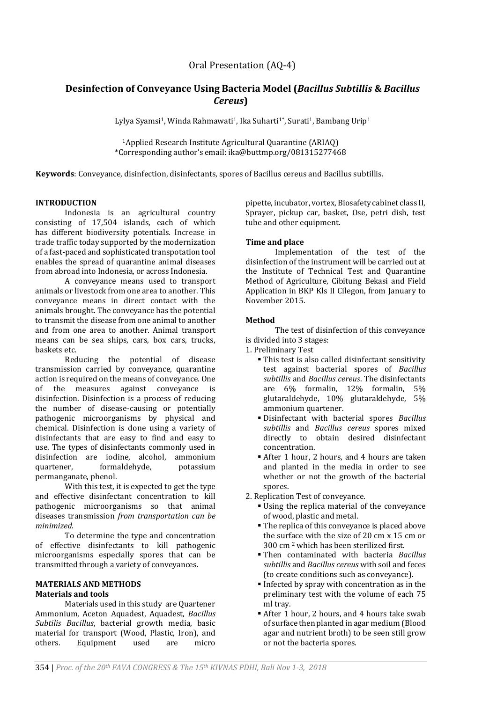## Oral Presentation (AQ-4)

# **Desinfection of Conveyance Using Bacteria Model (***Bacillus Subtillis* **&** *Bacillus Cereus***)**

Lylya Syamsi<sup>1</sup>, Winda Rahmawati<sup>1</sup>, Ika Suharti<sup>1</sup>\*, Surati<sup>1</sup>, Bambang Urip<sup>1</sup>

<sup>1</sup>Applied Research Institute Agricultural Quarantine (ARIAQ) \*Corresponding author's email: ika@buttmp.org/081315277468

**Keywords**: Conveyance, disinfection, disinfectants, spores of Bacillus cereus and Bacillus subtillis.

#### **INTRODUCTION**

Indonesia is an agricultural country consisting of 17,504 islands, each of which has different biodiversity potentials. Increase in trade traffic today supported by the modernization of a fast-paced and sophisticated transpotation tool enables the spread of quarantine animal diseases from abroad into Indonesia, or across Indonesia.

A conveyance means used to transport animals or livestock from one area to another. This conveyance means in direct contact with the animals brought. The conveyance has the potential to transmit the disease from one animal to another and from one area to another. Animal transport means can be sea ships, cars, box cars, trucks, baskets etc.

Reducing the potential of disease transmission carried by conveyance, quarantine action is required on the means of conveyance. One of the measures against conveyance is disinfection. Disinfection is a process of reducing the number of disease-causing or potentially pathogenic microorganisms by physical and chemical. Disinfection is done using a variety of disinfectants that are easy to find and easy to use. The types of disinfectants commonly used in disinfection are iodine, alcohol, ammonium quartener, formaldehyde, potassium permanganate, phenol.

With this test, it is expected to get the type and effective disinfectant concentration to kill pathogenic microorganisms so that animal diseases transmission *from transportation can be minimized.*

To determine the type and concentration of effective disinfectants to kill pathogenic microorganisms especially spores that can be transmitted through a variety of conveyances.

### **MATERIALS AND METHODS Materials and tools**

Materials used in this study are Quartener Ammonium, Aceton Aquadest, Aquadest, *Bacillus Subtilis Bacillus*, bacterial growth media, basic material for transport (Wood, Plastic, Iron), and others. Equipment used are micro pipette, incubator, vortex, Biosafety cabinet class II, Sprayer, pickup car, basket, Ose, petri dish, test tube and other equipment.

#### **Time and place**

Implementation of the test of the disinfection of the instrument will be carried out at the Institute of Technical Test and Quarantine Method of Agriculture, Cibitung Bekasi and Field Application in BKP Kls II Cilegon, from January to November 2015.

#### **Method**

The test of disinfection of this conveyance is divided into 3 stages:

1. Preliminary Test

- This test is also called disinfectant sensitivity test against bacterial spores of *Bacillus subtillis* and *Bacillus cereus*. The disinfectants are 6% formalin, 12% formalin, 5% glutaraldehyde, 10% glutaraldehyde, 5% ammonium quartener.
- Disinfectant with bacterial spores *Bacillus subtillis* and *Bacillus cereus* spores mixed directly to obtain desired disinfectant concentration.
- After 1 hour, 2 hours, and 4 hours are taken and planted in the media in order to see whether or not the growth of the bacterial spores.
- 2. Replication Test of conveyance.
	- Using the replica material of the conveyance of wood, plastic and metal.
	- The replica of this conveyance is placed above the surface with the size of 20 cm x 15 cm or 300 cm <sup>2</sup> which has been sterilized first.
	- Then contaminated with bacteria *Bacillus subtillis* and *Bacillus cereus* with soil and feces (to create conditions such as conveyance).
	- Infected by spray with concentration as in the preliminary test with the volume of each 75 ml tray.
	- After 1 hour, 2 hours, and 4 hours take swab of surface then planted in agar medium (Blood agar and nutrient broth) to be seen still grow or not the bacteria spores.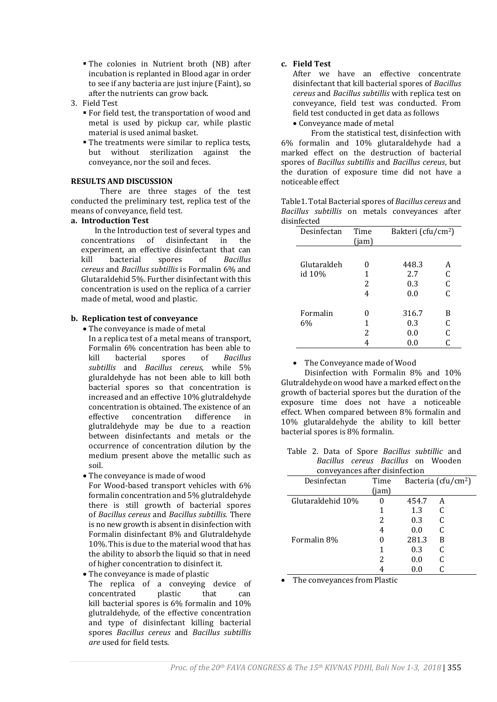- The colonies in Nutrient broth (NB) after incubation is replanted in Blood agar in order to see if any bacteria are just injure (Faint), so after the nutrients can grow back.
- 3. Field Test
	- For field test, the transportation of wood and metal is used by pickup car, while plastic material is used animal basket.
	- The treatments were similar to replica tests, but without sterilization against the conveyance, nor the soil and feces.

#### **RESULTS AND DISCUSSION**

There are three stages of the test conducted the preliminary test, replica test of the means of conveyance, field test.

### **a. Introduction Test**

In the Introduction test of several types and concentrations of disinfectant in the experiment, an effective disinfectant that can kill bacterial spores of *Bacillus cereus* and *Bacillus subtillis* is Formalin 6% and Glutaraldehid 5%. Further disinfectant with this concentration is used on the replica of a carrier made of metal, wood and plastic.

### **b. Replication test of conveyance**

- The conveyance is made of metal In a replica test of a metal means of transport, Formalin 6% concentration has been able to kill bacterial spores of *Bacillus subtillis* and *Bacillus cereus*, while 5% gluraldehyde has not been able to kill both bacterial spores so that concentration is increased and an effective 10% glutraldehyde concentration is obtained. The existence of an effective concentration difference in glutraldehyde may be due to a reaction between disinfectants and metals or the occurrence of concentration dilution by the medium present above the metallic such as soil.
- The conveyance is made of wood
- For Wood-based transport vehicles with 6% formalin concentration and 5% glutraldehyde there is still growth of bacterial spores of *Bacillus cereus* and *Bacillus subtillis.* There is no new growth is absent in disinfection with Formalin disinfectant 8% and Glutraldehyde 10%. This is due to the material wood that has the ability to absorb the liquid so that in need of higher concentration to disinfect it.
- The conveyance is made of plastic The replica of a conveying device of concentrated plastic that can kill bacterial spores is 6% formalin and 10% glutraldehyde, of the effective concentration and type of disinfectant killing bacterial spores *Bacillus cereus* and *Bacillus subtillis are* used for field tests.

### **c. Field Test**

After we have an effective concentrate disinfectant that kill bacterial spores of *Bacillus cereus* and *Bacillus subtillis* with replica test on conveyance, field test was conducted. From field test conducted in get data as follows

Conveyance made of metal

From the statistical test, disinfection with 6% formalin and 10% glutaraldehyde had a marked effect on the destruction of bacterial spores of *Bacillus subtillis* and *Bacillus cereus*, but the duration of exposure time did not have a noticeable effect

Table1. Total Bacterial spores of *Bacillus cereus* and *Bacillus subtillis* on metals conveyances after disinfected

| ,,,,,,,,,,, |       |                                |   |  |  |
|-------------|-------|--------------------------------|---|--|--|
| Desinfectan | Time  | Bakteri (cfu/cm <sup>2</sup> ) |   |  |  |
|             | (iam) |                                |   |  |  |
|             |       |                                |   |  |  |
| Glutaraldeh | 0     | 448.3                          | А |  |  |
| id 10%      | 1     | 2.7                            | C |  |  |
|             | 2     | 0.3                            | C |  |  |
|             | 4     | 0.0                            | C |  |  |
|             |       |                                |   |  |  |
| Formalin    | 0     | 316.7                          | В |  |  |
| 6%          | 1     | 0.3                            | C |  |  |
|             | 2     | 0.0                            | C |  |  |
|             |       | 0.0                            | C |  |  |

#### The Conveyance made of Wood

Disinfection with Formalin 8% and 10% Glutraldehyde on wood have a marked effect on the growth of bacterial spores but the duration of the exposure time does not have a noticeable effect. When compared between 8% formalin and 10% glutaraldehyde the ability to kill better bacterial spores is 8% formalin.

Table 2. Data of Spore *Bacillus subtillic* and *Bacillus cereus Bacillus* on Wooden conveyances after disinfection

| CONVEVANCES AREI UISHIIECUUN |       |       |                                 |  |  |
|------------------------------|-------|-------|---------------------------------|--|--|
| Desinfectan                  | Time  |       | Bacteria (cfu/cm <sup>2</sup> ) |  |  |
|                              | (jam) |       |                                 |  |  |
| Glutaraldehid 10%            |       | 454.7 | A                               |  |  |
|                              |       | 1.3   |                                 |  |  |
|                              | 2     | 0.3   |                                 |  |  |
|                              |       | 0.0   |                                 |  |  |
| Formalin 8%                  |       | 281.3 | B                               |  |  |
|                              |       | 0.3   |                                 |  |  |
|                              | 2     | 0.0   |                                 |  |  |
|                              |       | 0.0   |                                 |  |  |

• The conveyances from Plastic